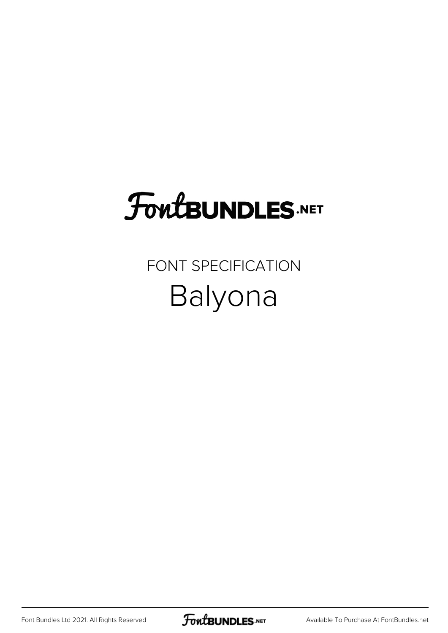## **FoutBUNDLES.NET**

#### FONT SPECIFICATION Balyona

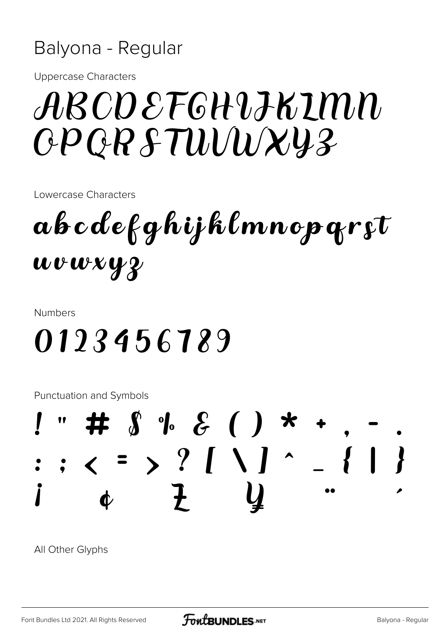#### Balyona - Regular

**Uppercase Characters** 

## ARCDEFGHIJKIMN GPGRSTUUWXY3

Lowercase Characters

 $\boldsymbol{a}$ bcdefghijklmnopqr $\boldsymbol{i}$ t wvwxyz

**Numbers** 

#### 0123456789

**Punctuation and Symbols** 



All Other Glyphs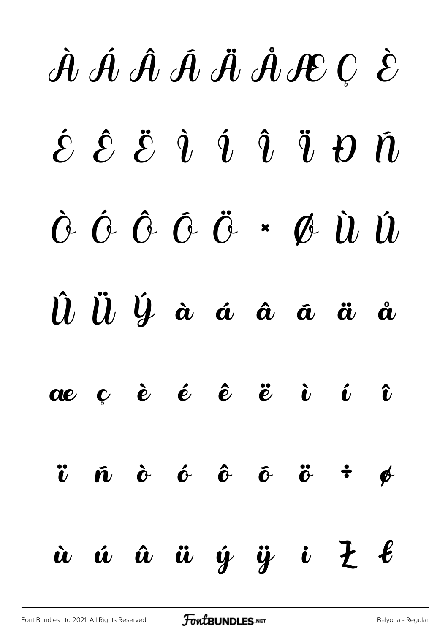# À Á Â Ã Ä Å Æ Ç È  $\acute{\mathcal{E}}$   $\hat{\mathcal{E}}$   $\ddot{\mathcal{E}}$   $\dot{\mathcal{U}}$   $\ddot{\mathcal{U}}$   $\ddot{\mathcal{U}}$   $\ddot{\mathcal{U}}$   $\ddot{\mathcal{U}}$ Ò Ó Ô Õ Ö × Ø Ù Ú  $\hat{u}$   $\hat{u}$   $\hat{y}$  à á á  $\hat{a}$  ä ä å æ ç è é ê ë ì í î  $\ddot{v}$   $\ddot{\text{o}}$   $\dot{\text{o}}$   $\ddot{\text{o}}$   $\ddot{\text{o}}$   $\ddot{\text{o}}$   $\ddot{\text{o}}$   $\ddot{\text{o}}$   $\ddot{\text{o}}$   $\ddot{\text{o}}$  $\dot{u}$   $\dot{u}$   $\dot{u}$   $\dot{y}$   $\ddot{y}$   $\dot{u}$   $\ddot{z}$   $\ell$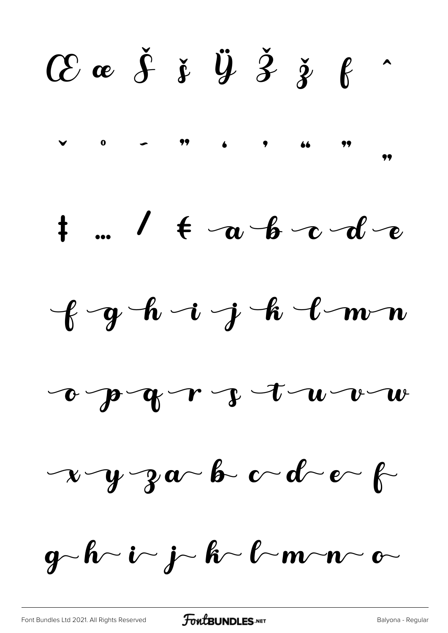$C$  a  $\check{f}$  i  $\ddot{y}$   $\check{z}$  i  $\theta$  $\overline{\phantom{a}}$ 







 $x - y - z_0$  b  $c - d - e$ 

 $g-h\sim i\sim j\sim h\sim l\sim m\sim n\sim c\sim$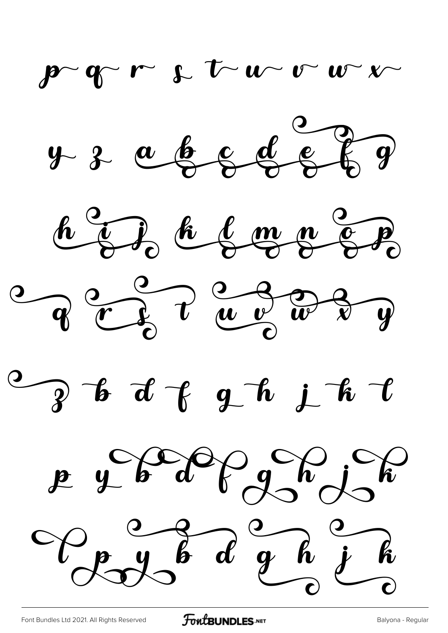$\mathbf{p}$   $\mathbf{q}$   $\mathbf{r}$   $\mathbf{r}$   $\mathbf{r}$   $\mathbf{w}$   $\mathbf{w}$   $\mathbf{w}$ 









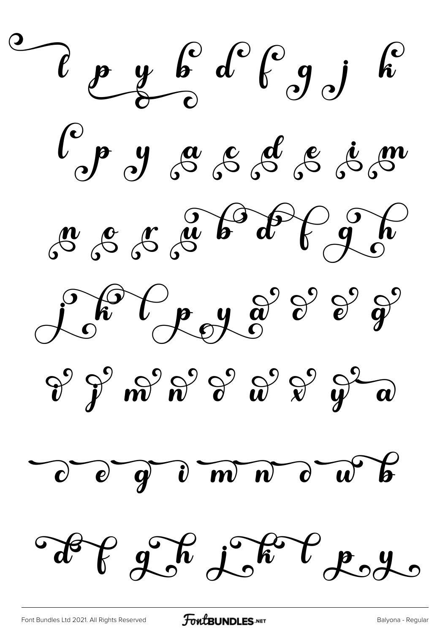$\ell$  p y b  $d^{\circ}\ell$  g j  $d^{\circ}$ l'est d'a cassé de sou Londergros de 2 de  $\theta^2$   $\theta^2$   $m^2$   $n^2$   $\theta^2$   $\theta^2$   $\theta^2$   $\theta^2$   $\theta^2$ d d d n m n d n p Lef 22 Leveres